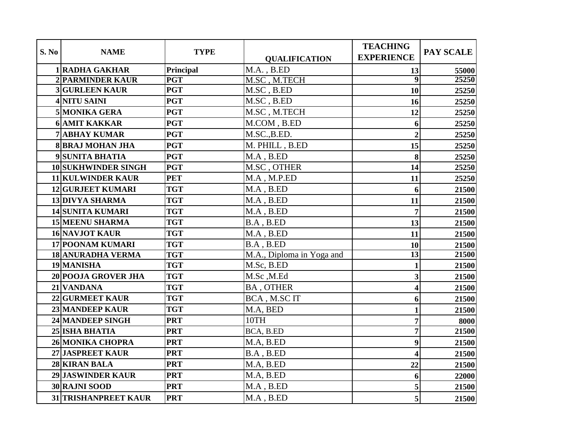|       |                          |             |                           | <b>TEACHING</b>         |           |
|-------|--------------------------|-------------|---------------------------|-------------------------|-----------|
| S. No | <b>NAME</b>              | <b>TYPE</b> | <b>QUALIFICATION</b>      | <b>EXPERIENCE</b>       | PAY SCALE |
|       | 1 RADHA GAKHAR           | Principal   | $M.A.$ , $B.ED$           | 13                      | 55000     |
|       | 2 PARMINDER KAUR         | <b>PGT</b>  | M.SC, M.TECH              | $\overline{9}$          | 25250     |
|       | <b>3 GURLEEN KAUR</b>    | <b>PGT</b>  | M.SC, B.ED                | 10                      | 25250     |
|       | 4 NITU SAINI             | <b>PGT</b>  | M.SC, B.ED                | 16                      | 25250     |
|       | 5 MONIKA GERA            | <b>PGT</b>  | M.SC, M.TECH              | 12                      | 25250     |
|       | <b>6 AMIT KAKKAR</b>     | <b>PGT</b>  | M.COM, B.ED               | 6                       | 25250     |
|       | <b>7 ABHAY KUMAR</b>     | <b>PGT</b>  | M.SC., B.ED.              | $\overline{2}$          | 25250     |
|       | <b>8 BRAJ MOHAN JHA</b>  | <b>PGT</b>  | M. PHILL, B.ED            | 15                      | 25250     |
|       | 9 SUNITA BHATIA          | <b>PGT</b>  | $MA$ , $B.ED$             | 8                       | 25250     |
|       | 10 SUKHWINDER SINGH      | <b>PGT</b>  | M.SC, OTHER               | 14                      | 25250     |
|       | <b>11 KULWINDER KAUR</b> | <b>PET</b>  | M.A, M.P.ED               | 11                      | 25250     |
|       | <b>12 GURJEET KUMARI</b> | <b>TGT</b>  | $M.A$ , $B.ED$            | 6                       | 21500     |
|       | <b>13 DIVYA SHARMA</b>   | <b>TGT</b>  | $M.A$ , $B.ED$            | 11                      | 21500     |
|       | <b>14 SUNITA KUMARI</b>  | <b>TGT</b>  | $M.A$ , $B.ED$            | 7                       | 21500     |
|       | <b>15 MEENU SHARMA</b>   | <b>TGT</b>  | $B.A$ , $B.ED$            | 13                      | 21500     |
|       | <b>16 NAVJOT KAUR</b>    | <b>TGT</b>  | $MA$ , $B.ED$             | 11                      | 21500     |
|       | 17 POONAM KUMARI         | <b>TGT</b>  | B.A, B.ED                 | 10                      | 21500     |
|       | <b>18 ANURADHA VERMA</b> | <b>TGT</b>  | M.A., Diploma in Yoga and | $\overline{13}$         | 21500     |
|       | 19 MANISHA               | <b>TGT</b>  | M.Sc, B.ED                | $\mathbf{1}$            | 21500     |
|       | 20 POOJA GROVER JHA      | <b>TGT</b>  | M.Sc,M.Ed                 | $\overline{\mathbf{3}}$ | 21500     |
|       | 21 VANDANA               | <b>TGT</b>  | <b>BA, OTHER</b>          | $\overline{\mathbf{4}}$ | 21500     |
|       | 22 GURMEET KAUR          | <b>TGT</b>  | BCA, M.SCIT               | 6                       | 21500     |
|       | 23 MANDEEP KAUR          | <b>TGT</b>  | M.A, BED                  | $\mathbf{1}$            | 21500     |
|       | 24 MANDEEP SINGH         | <b>PRT</b>  | 10TH                      | $\overline{7}$          | 8000      |
|       | 25 ISHA BHATIA           | <b>PRT</b>  | BCA, B.ED                 | 7                       | 21500     |
|       | <b>26 MONIKA CHOPRA</b>  | <b>PRT</b>  | M.A, B.ED                 | 9                       | 21500     |
|       | 27 JASPREET KAUR         | <b>PRT</b>  | B.A, B.ED                 | $\overline{\mathbf{4}}$ | 21500     |
|       | 28 KIRAN BALA            | <b>PRT</b>  | M.A, B.ED                 | 22                      | 21500     |
|       | 29 JASWINDER KAUR        | <b>PRT</b>  | M.A, B.ED                 | 6                       | 22000     |
|       | 30 RAJNI SOOD            | <b>PRT</b>  | M.A, B.ED                 | 5                       | 21500     |
|       | 31 TRISHANPREET KAUR     | <b>PRT</b>  | $M.A$ , $B.ED$            | 5                       | 21500     |